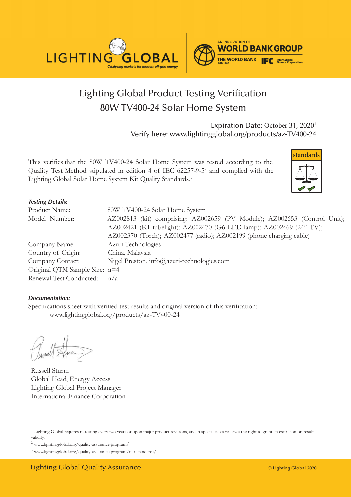



# Lighting Global Product Testing Verification 80W TV400-24 Solar Home System

Expiration Date: October 31, 2020<sup>1</sup> Verify here: www.lightingglobal.org/products/az-TV400-24

This verifies that the 80W TV400-24 Solar Home System was tested according to the Quality Test Method stipulated in edition 4 of IEC 62257-9-5<sup>2</sup> and complied with the Lighting Global Solar Home System Kit Quality Standards.<sup>3</sup>



#### *Testing Details:*

| 80W TV400-24 Solar Home System                                            |
|---------------------------------------------------------------------------|
| AZ002813 (kit) comprising: AZ002659 (PV Module); AZ002653 (Control Unit); |
| AZ002421 (K1 tubelight); AZ002470 (G6 LED lamp); AZ002469 (24" TV);       |
| AZ002370 (Torch); AZ002477 (radio); AZ002199 (phone charging cable)       |
| Azuri Technologies                                                        |
| China, Malaysia                                                           |
| Nigel Preston, info@azuri-technologies.com                                |
| Original QTM Sample Size: n=4                                             |
| n/a                                                                       |
|                                                                           |

#### *Documentation:*

Specifications sheet with verified test results and original version of this verification: www.lightingglobal.org/products/az-TV400-24

Russell Sturm Global Head, Energy Access Lighting Global Project Manager International Finance Corporation

<sup>&</sup>lt;sup>1</sup> Lighting Global requires re-testing every two years or upon major product revisions, and in special cases reserves the right to grant an extension on results validity.

 $^2$ www.lightingglobal.org/quality-assurance-program/  $\,$ 

<sup>3</sup> www.lightingglobal.org/quality-assurance-program/our-standards/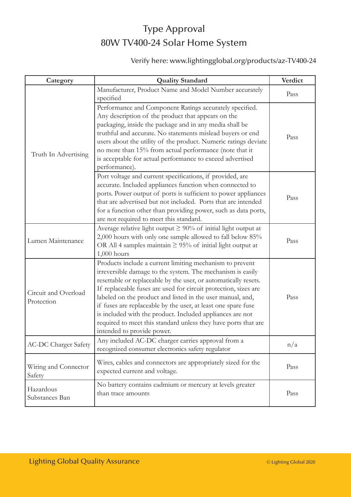## Type Approval 80W TV400-24 Solar Home System

### Verify here: www.lightingglobal.org/products/az-TV400-24

| Category                           | <b>Quality Standard</b>                                                                                                                                                                                                                                                                                                                                                                                                                                                                                                                                  | Verdict |
|------------------------------------|----------------------------------------------------------------------------------------------------------------------------------------------------------------------------------------------------------------------------------------------------------------------------------------------------------------------------------------------------------------------------------------------------------------------------------------------------------------------------------------------------------------------------------------------------------|---------|
| Truth In Advertising               | Manufacturer, Product Name and Model Number accurately<br>specified                                                                                                                                                                                                                                                                                                                                                                                                                                                                                      | Pass    |
|                                    | Performance and Component Ratings accurately specified.<br>Any description of the product that appears on the<br>packaging, inside the package and in any media shall be<br>truthful and accurate. No statements mislead buyers or end<br>users about the utility of the product. Numeric ratings deviate<br>no more than 15% from actual performance (note that it<br>is acceptable for actual performance to exceed advertised<br>performance).                                                                                                        | Pass    |
|                                    | Port voltage and current specifications, if provided, are<br>accurate. Included appliances function when connected to<br>ports. Power output of ports is sufficient to power appliances<br>that are advertised but not included. Ports that are intended<br>for a function other than providing power, such as data ports,<br>are not required to meet this standard.                                                                                                                                                                                    | Pass    |
| Lumen Maintenance                  | Average relative light output $\geq 90\%$ of initial light output at<br>2,000 hours with only one sample allowed to fall below 85%<br>OR All 4 samples maintain $\geq$ 95% of initial light output at<br>$1,000$ hours                                                                                                                                                                                                                                                                                                                                   | Pass    |
| Circuit and Overload<br>Protection | Products include a current limiting mechanism to prevent<br>irreversible damage to the system. The mechanism is easily<br>resettable or replaceable by the user, or automatically resets.<br>If replaceable fuses are used for circuit protection, sizes are<br>labeled on the product and listed in the user manual, and,<br>if fuses are replaceable by the user, at least one spare fuse<br>is included with the product. Included appliances are not<br>required to meet this standard unless they have ports that are<br>intended to provide power. | Pass    |
| <b>AC-DC Charger Safety</b>        | Any included AC-DC charger carries approval from a<br>recognized consumer electronics safety regulator                                                                                                                                                                                                                                                                                                                                                                                                                                                   | n/a     |
| Wiring and Connector<br>Safety     | Wires, cables and connectors are appropriately sized for the<br>expected current and voltage.                                                                                                                                                                                                                                                                                                                                                                                                                                                            | Pass    |
| Hazardous<br>Substances Ban        | No battery contains cadmium or mercury at levels greater<br>than trace amounts                                                                                                                                                                                                                                                                                                                                                                                                                                                                           | Pass    |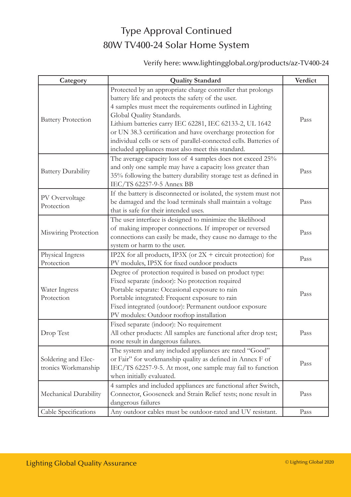## Type Approval Continued 80W TV400-24 Solar Home System

### Verify here: www.lightingglobal.org/products/az-TV400-24

| Category                                   | <b>Quality Standard</b>                                                                                                                                                                                                                                                                                                                                                                                                                                         | Verdict |
|--------------------------------------------|-----------------------------------------------------------------------------------------------------------------------------------------------------------------------------------------------------------------------------------------------------------------------------------------------------------------------------------------------------------------------------------------------------------------------------------------------------------------|---------|
| <b>Battery Protection</b>                  | Protected by an appropriate charge controller that prolongs<br>battery life and protects the safety of the user.<br>4 samples must meet the requirements outlined in Lighting<br>Global Quality Standards.<br>Lithium batteries carry IEC 62281, IEC 62133-2, UL 1642<br>or UN 38.3 certification and have overcharge protection for<br>individual cells or sets of parallel-connected cells. Batteries of<br>included appliances must also meet this standard. | Pass    |
| <b>Battery Durability</b>                  | The average capacity loss of 4 samples does not exceed 25%<br>and only one sample may have a capacity loss greater than<br>35% following the battery durability storage test as defined in<br>IEC/TS 62257-9-5 Annex BB                                                                                                                                                                                                                                         | Pass    |
| PV Overvoltage<br>Protection               | If the battery is disconnected or isolated, the system must not<br>be damaged and the load terminals shall maintain a voltage<br>that is safe for their intended uses.                                                                                                                                                                                                                                                                                          | Pass    |
| Miswiring Protection                       | The user interface is designed to minimize the likelihood<br>of making improper connections. If improper or reversed<br>connections can easily be made, they cause no damage to the<br>system or harm to the user.                                                                                                                                                                                                                                              | Pass    |
| Physical Ingress<br>Protection             | IP2X for all products, IP3X (or $2X +$ circuit protection) for<br>PV modules, IP5X for fixed outdoor products                                                                                                                                                                                                                                                                                                                                                   | Pass    |
| Water Ingress<br>Protection                | Degree of protection required is based on product type:<br>Fixed separate (indoor): No protection required<br>Portable separate: Occasional exposure to rain<br>Portable integrated: Frequent exposure to rain<br>Fixed integrated (outdoor): Permanent outdoor exposure<br>PV modules: Outdoor rooftop installation                                                                                                                                            | Pass    |
| Drop Test                                  | Fixed separate (indoor): No requirement<br>All other products: All samples are functional after drop test;<br>none result in dangerous failures.                                                                                                                                                                                                                                                                                                                | Pass    |
| Soldering and Elec-<br>tronics Workmanship | The system and any included appliances are rated "Good"<br>or Fair" for workmanship quality as defined in Annex F of<br>IEC/TS 62257-9-5. At most, one sample may fail to function<br>when initially evaluated.                                                                                                                                                                                                                                                 | Pass    |
| Mechanical Durability                      | 4 samples and included appliances are functional after Switch,<br>Connector, Gooseneck and Strain Relief tests; none result in<br>dangerous failures                                                                                                                                                                                                                                                                                                            | Pass    |
| Cable Specifications                       | Any outdoor cables must be outdoor-rated and UV resistant.                                                                                                                                                                                                                                                                                                                                                                                                      | Pass    |